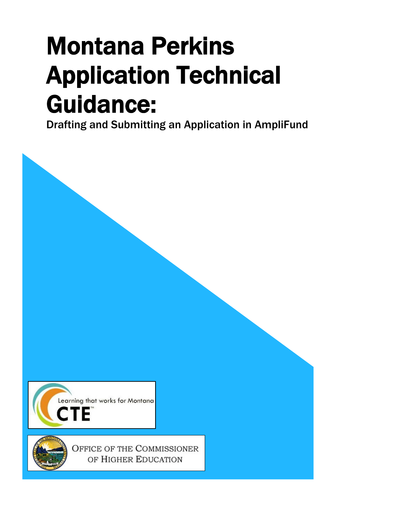# <span id="page-0-0"></span>Montana Perkins Application Technical Guidance:<br>Drafting and Submitting an Application in AmpliFund

<span id="page-0-1"></span>



OFFICE OF THE COMMISSIONER OF HIGHER EDUCATION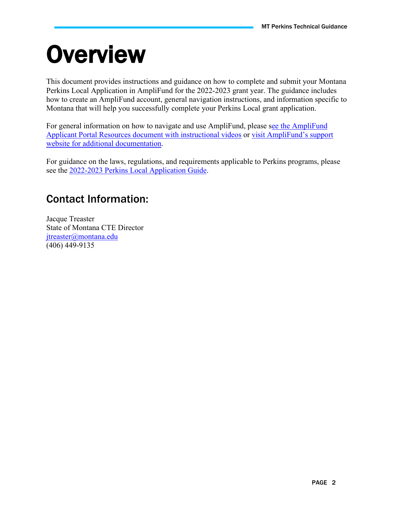# <span id="page-1-0"></span>**Overview**

This document provides instructions and guidance on how to complete and submit your Montana Perkins Local Application in AmpliFund for the 2022-2023 grant year. The guidance includes how to create an AmpliFund account, general navigation instructions, and information specific to Montana that will help you successfully complete your Perkins Local grant application.

For general information on how to navigate and use AmpliFund, please [see the AmpliFund](https://mus.edu/Perkins/documents/resources/AmpliFund%20Applicant%20Portal%20Resources.pdf) Applicant Portal Resources [document with instructional videos](https://mus.edu/Perkins/documents/resources/AmpliFund%20Applicant%20Portal%20Resources.pdf) or [visit AmpliFund's support](https://amplifund.zendesk.com/)  [website](https://amplifund.zendesk.com/) for additional documentation.

For guidance on the laws, regulations, and requirements applicable to Perkins programs, please see the 2022-2023 [Perkins Local Application Guide.](https://mus.edu/Perkins/documents/LocalApps/22-23/Perkins%20Local%20Application%20Guide%202022-2023%20Final.pdf)

# <span id="page-1-1"></span>Contact Information:

Jacque Treaster State of Montana CTE Director [jtreaster@montana.edu](mailto:jtreaster@montana.edu) (406) 449-9135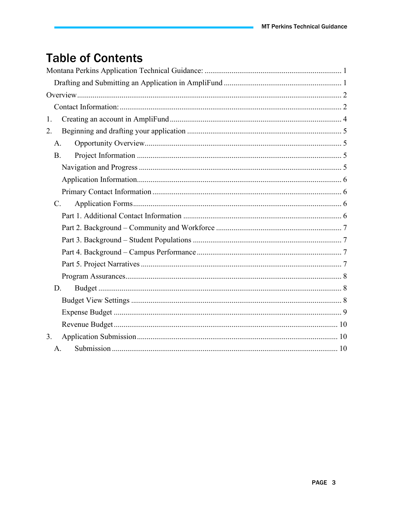# **Table of Contents**

| 1.          |  |
|-------------|--|
| 2.          |  |
| A.          |  |
| <b>B.</b>   |  |
|             |  |
|             |  |
|             |  |
| $C_{\cdot}$ |  |
|             |  |
|             |  |
|             |  |
|             |  |
|             |  |
|             |  |
| D.          |  |
|             |  |
|             |  |
|             |  |
| 3.          |  |
| A.          |  |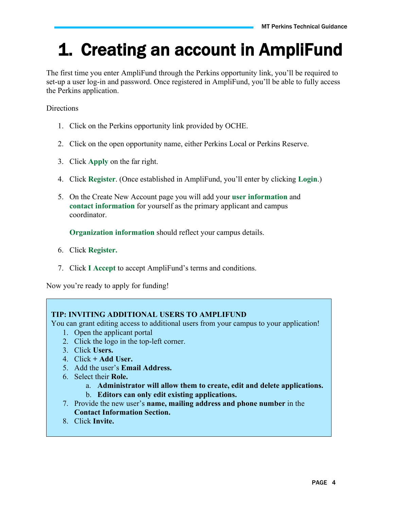# <span id="page-3-0"></span>1. Creating an account in AmpliFund

The first time you enter AmpliFund through the Perkins opportunity link, you'll be required to set-up a user log-in and password. Once registered in AmpliFund, you'll be able to fully access the Perkins application.

**Directions** 

- 1. Click on the Perkins opportunity link provided by OCHE.
- 2. Click on the open opportunity name, either Perkins Local or Perkins Reserve.
- 3. Click **Apply** on the far right.
- 4. Click **Register**. (Once established in AmpliFund, you'll enter by clicking **Login**.)
- 5. On the Create New Account page you will add your **user information** and **contact information** for yourself as the primary applicant and campus coordinator.

**Organization information** should reflect your campus details.

- 6. Click **Register.**
- 7. Click **I Accept** to accept AmpliFund's terms and conditions.

Now you're ready to apply for funding!

#### **TIP: INVITING ADDITIONAL USERS TO AMPLIFUND**

You can grant editing access to additional users from your campus to your application!

- 1. Open the applicant portal
- 2. Click the logo in the top-left corner.
- 3. Click **Users.**
- 4. Click **+ Add User.**
- 5. Add the user's **Email Address.**
- 6. Select their **Role.**
	- a. **Administrator will allow them to create, edit and delete applications.**
	- b. **Editors can only edit existing applications.**
- 7. Provide the new user's **name, mailing address and phone number** in the **Contact Information Section.**
- 8. Click **Invite.**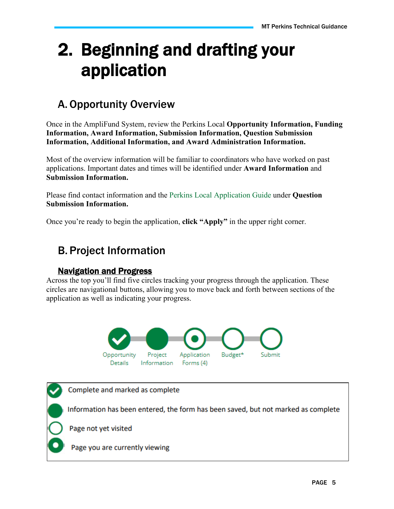# <span id="page-4-0"></span>2. Beginning and drafting your application

# <span id="page-4-1"></span>A.Opportunity Overview

Once in the AmpliFund System, review the Perkins Local **Opportunity Information, Funding Information, Award Information, Submission Information, Question Submission Information, Additional Information, and Award Administration Information.**

Most of the overview information will be familiar to coordinators who have worked on past applications. Important dates and times will be identified under **Award Information** and **Submission Information.**

Please find contact information and the Perkins Local Application Guide under **Question Submission Information.**

Once you're ready to begin the application, **click "Apply"** in the upper right corner.

## <span id="page-4-2"></span>B. Project Information

#### Navigation and Progress

<span id="page-4-3"></span>Across the top you'll find five circles tracking your progress through the application. These circles are navigational buttons, allowing you to move back and forth between sections of the application as well as indicating your progress.



Complete and marked as complete Information has been entered, the form has been saved, but not marked as complete Page not yet visited Page you are currently viewing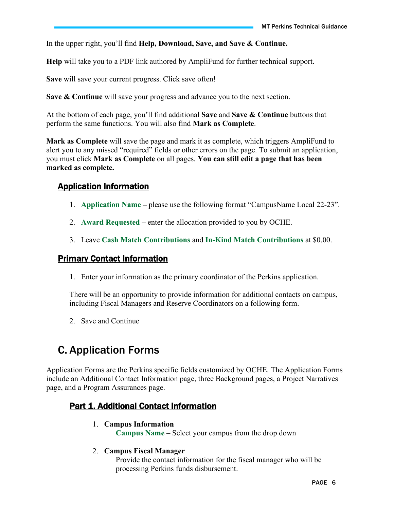In the upper right, you'll find **Help, Download, Save, and Save & Continue.**

**Help** will take you to a PDF link authored by AmpliFund for further technical support.

**Save** will save your current progress. Click save often!

**Save & Continue** will save your progress and advance you to the next section.

At the bottom of each page, you'll find additional **Save** and **Save & Continue** buttons that perform the same functions. You will also find **Mark as Complete**.

**Mark as Complete** will save the page and mark it as complete, which triggers AmpliFund to alert you to any missed "required" fields or other errors on the page. To submit an application, you must click **Mark as Complete** on all pages. **You can still edit a page that has been marked as complete.**

#### <span id="page-5-0"></span>Application Information

- 1. **Application Name –** please use the following format "CampusName Local 22-23".
- 2. **Award Requested –** enter the allocation provided to you by OCHE.
- 3. Leave **Cash Match Contributions** and **In-Kind Match Contributions** at \$0.00.

#### <span id="page-5-1"></span>Primary Contact Information

1. Enter your information as the primary coordinator of the Perkins application.

There will be an opportunity to provide information for additional contacts on campus, including Fiscal Managers and Reserve Coordinators on a following form.

2. Save and Continue

## <span id="page-5-2"></span>C. Application Forms

Application Forms are the Perkins specific fields customized by OCHE. The Application Forms include an Additional Contact Information page, three Background pages, a Project Narratives page, and a Program Assurances page.

#### <span id="page-5-3"></span>**Part 1. Additional Contact Information**

#### 1. **Campus Information**

**Campus Name** – Select your campus from the drop down

#### 2. **Campus Fiscal Manager**

Provide the contact information for the fiscal manager who will be processing Perkins funds disbursement.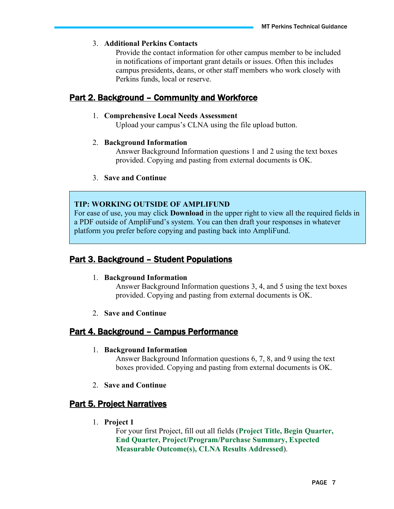#### 3. **Additional Perkins Contacts**

Provide the contact information for other campus member to be included in notifications of important grant details or issues. Often this includes campus presidents, deans, or other staff members who work closely with Perkins funds, local or reserve.

#### <span id="page-6-0"></span>Part 2. Background – Community and Workforce

#### 1. **Comprehensive Local Needs Assessment**

Upload your campus's CLNA using the file upload button.

#### 2. **Background Information**

Answer Background Information questions 1 and 2 using the text boxes provided. Copying and pasting from external documents is OK.

#### 3. **Save and Continue**

#### **TIP: WORKING OUTSIDE OF AMPLIFUND**

For ease of use, you may click **Download** in the upper right to view all the required fields in a PDF outside of AmpliFund's system. You can then draft your responses in whatever platform you prefer before copying and pasting back into AmpliFund.

#### <span id="page-6-1"></span>Part 3. Background – Student Populations

#### 1. **Background Information**

Answer Background Information questions 3, 4, and 5 using the text boxes provided. Copying and pasting from external documents is OK.

2. **Save and Continue**

#### <span id="page-6-2"></span>Part 4. Background – Campus Performance

#### 1. **Background Information**

Answer Background Information questions 6, 7, 8, and 9 using the text boxes provided. Copying and pasting from external documents is OK.

2. **Save and Continue**

#### <span id="page-6-3"></span>**Part 5. Project Narratives**

1. **Project 1**

For your first Project, fill out all fields (**Project Title, Begin Quarter, End Quarter, Project/Program/Purchase Summary, Expected Measurable Outcome(s), CLNA Results Addressed**).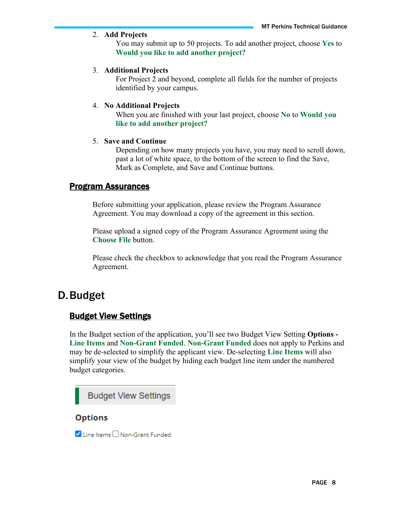#### 2. **Add Projects**

You may submit up to 50 projects. To add another project, choose **Yes** to **Would you like to add another project?**

#### 3. **Additional Projects**

For Project 2 and beyond, complete all fields for the number of projects identified by your campus.

#### 4. **No Additional Projects**

When you are finished with your last project, choose **No** to **Would you like to add another project?**

#### 5. **Save and Continue**

Depending on how many projects you have, you may need to scroll down, past a lot of white space, to the bottom of the screen to find the Save, Mark as Complete, and Save and Continue buttons.

#### <span id="page-7-0"></span>Program Assurances

Before submitting your application, please review the Program Assurance Agreement. You may download a copy of the agreement in this section.

Please upload a signed copy of the Program Assurance Agreement using the **Choose File** button.

Please check the checkbox to acknowledge that you read the Program Assurance Agreement.

### <span id="page-7-2"></span><span id="page-7-1"></span>D.Budget

#### Budget View Settings

In the Budget section of the application, you'll see two Budget View Setting **Options - Line Items** and **Non-Grant Funded**. **Non-Grant Funded** does not apply to Perkins and may be de-selected to simplify the applicant view. De-selecting **Line Items** will also simplify your view of the budget by hiding each budget line item under the numbered budget categories.



#### **Options**

V Line Items □ Non-Grant Funded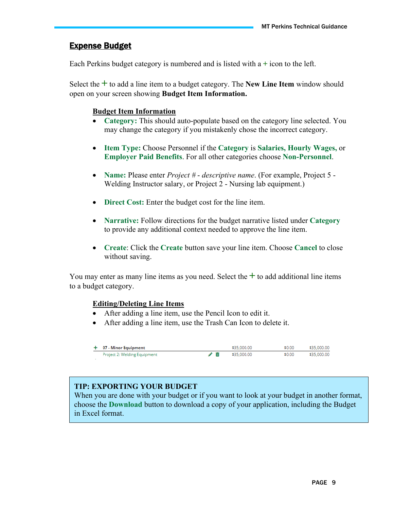#### <span id="page-8-0"></span>Expense Budget

Each Perkins budget category is numbered and is listed with a **+** icon to the left.

Select the **+** to add a line item to a budget category. The **New Line Item** window should open on your screen showing **Budget Item Information.**

#### **Budget Item Information**

- **Category:** This should auto-populate based on the category line selected. You may change the category if you mistakenly chose the incorrect category.
- **Item Type:** Choose Personnel if the **Category** is **Salaries, Hourly Wages,** or **Employer Paid Benefits**. For all other categories choose **Non-Personnel**.
- **Name:** Please enter *Project # descriptive name*. (For example, Project 5 Welding Instructor salary, or Project 2 - Nursing lab equipment.)
- **Direct Cost:** Enter the budget cost for the line item.
- **Narrative:** Follow directions for the budget narrative listed under **Category** to provide any additional context needed to approve the line item.
- **Create**: Click the **Create** button save your line item. Choose **Cancel** to close without saving.

You may enter as many line items as you need. Select the **+** to add additional line items to a budget category.

#### **Editing/Deleting Line Items**

- After adding a line item, use the Pencil Icon to edit it.
- After adding a line item, use the Trash Can Icon to delete it.

| $+$ 07 - Minor Equipment     | \$35,000,00 | \$0.00 \$35,000,00 |
|------------------------------|-------------|--------------------|
| Project 2: Welding Equipment | \$35,000,00 | \$0.00 \$35,000,00 |

#### **TIP: EXPORTING YOUR BUDGET**

When you are done with your budget or if you want to look at your budget in another format, choose the **Download** button to download a copy of your application, including the Budget in Excel format.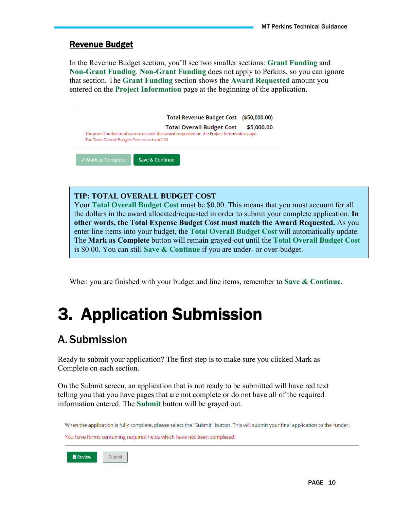#### <span id="page-9-0"></span>Revenue Budget

In the Revenue Budget section, you'll see two smaller sections: **Grant Funding** and **Non-Grant Funding**. **Non-Grant Funding** does not apply to Perkins, so you can ignore that section. The **Grant Funding** section shows the **Award Requested** amount you entered on the **Project Information** page at the beginning of the application.

|                                              | <b>Total Overall Budget Cost</b>                                                          |            |
|----------------------------------------------|-------------------------------------------------------------------------------------------|------------|
|                                              |                                                                                           | \$5,000.00 |
|                                              | The grant funded total cannot exceed the award requested on the Project Information page. |            |
| The Total Overall Budget Cost must be \$0.00 |                                                                                           |            |

#### **TIP: TOTAL OVERALL BUDGET COST**

Your **Total Overall Budget Cost** must be \$0.00. This means that you must account for all the dollars in the award allocated/requested in order to submit your complete application. **In other words, the Total Expense Budget Cost must match the Award Requested.** As you enter line items into your budget, the **Total Overall Budget Cost** will automatically update. The **Mark as Complete** button will remain grayed-out until the **Total Overall Budget Cost**  is \$0.00. You can still **Save & Continue** if you are under- or over-budget.

When you are finished with your budget and line items, remember to **Save & Continue**.

# <span id="page-9-1"></span>3. Application Submission

## <span id="page-9-2"></span>A. Submission

Ready to submit your application? The first step is to make sure you clicked Mark as Complete on each section.

On the Submit screen, an application that is not ready to be submitted will have red text telling you that you have pages that are not complete or do not have all of the required information entered. The **Submit** button will be grayed out.

When the application is fully complete, please select the "Submit" button. This will submit your final application to the funder. You have forms containing required fields which have not been completed!